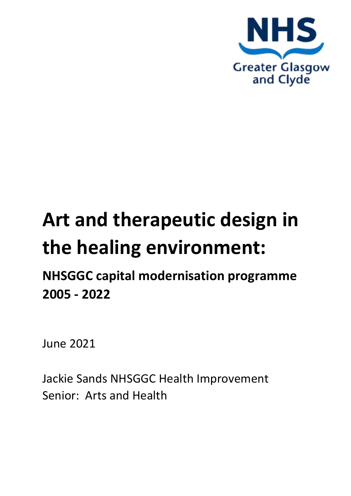

# **Art and therapeutic design in the healing environment:**

# **NHSGGC capital modernisation programme 2005 - 2022**

June 2021

Jackie Sands NHSGGC Health Improvement Senior: Arts and Health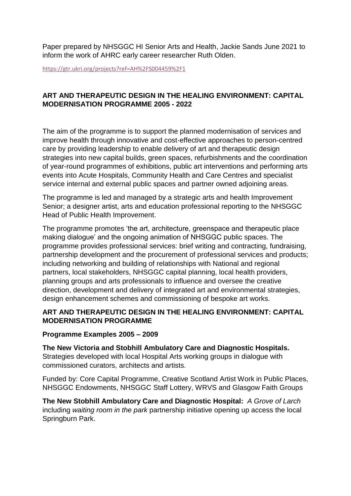Paper prepared by NHSGGC HI Senior Arts and Health, Jackie Sands June 2021 to inform the work of AHRC early career researcher Ruth Olden.

<https://gtr.ukri.org/projects?ref=AH%2FS004459%2F1>

#### **ART AND THERAPEUTIC DESIGN IN THE HEALING ENVIRONMENT: CAPITAL MODERNISATION PROGRAMME 2005 - 2022**

The aim of the programme is to support the planned modernisation of services and improve health through innovative and cost-effective approaches to person-centred care by providing leadership to enable delivery of art and therapeutic design strategies into new capital builds, green spaces, refurbishments and the coordination of year-round programmes of exhibitions, public art interventions and performing arts events into Acute Hospitals, Community Health and Care Centres and specialist service internal and external public spaces and partner owned adjoining areas.

The programme is led and managed by a strategic arts and health Improvement Senior; a designer artist, arts and education professional reporting to the NHSGGC Head of Public Health Improvement.

The programme promotes 'the art, architecture, greenspace and therapeutic place making dialogue' and the ongoing animation of NHSGGC public spaces. The programme provides professional services: brief writing and contracting, fundraising, partnership development and the procurement of professional services and products; including networking and building of relationships with National and regional partners, local stakeholders, NHSGGC capital planning, local health providers, planning groups and arts professionals to influence and oversee the creative direction, development and delivery of integrated art and environmental strategies, design enhancement schemes and commissioning of bespoke art works.

#### **ART AND THERAPEUTIC DESIGN IN THE HEALING ENVIRONMENT: CAPITAL MODERNISATION PROGRAMME**

#### **Programme Examples 2005 – 2009**

**The New Victoria and Stobhill Ambulatory Care and Diagnostic Hospitals.** Strategies developed with local Hospital Arts working groups in dialogue with commissioned curators, architects and artists.

Funded by: Core Capital Programme, Creative Scotland Artist Work in Public Places, NHSGGC Endowments, NHSGGC Staff Lottery, WRVS and Glasgow Faith Groups

**The New Stobhill Ambulatory Care and Diagnostic Hospital:** *A Grove of Larch* including *waiting room in the park* partnership initiative opening up access the local Springburn Park.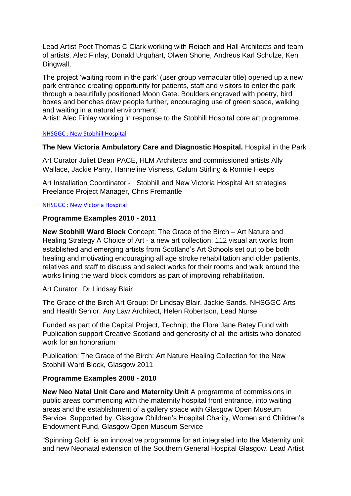Lead Artist Poet Thomas C Clark working with Reiach and Hall Architects and team of artists. Alec Finlay, Donald Urquhart, Olwen Shone, Andreus Karl Schulze, Ken Dingwall,

The project 'waiting room in the park' (user group vernacular title) opened up a new park entrance creating opportunity for patients, staff and visitors to enter the park through a beautifully positioned Moon Gate. Boulders engraved with poetry, bird boxes and benches draw people further, encouraging use of green space, walking and waiting in a natural environment.

Artist: Alec Finlay working in response to the Stobhill Hospital core art programme.

#### [NHSGGC : New Stobhill Hospital](https://www.nhsggc.org.uk/your-health/public-health/health-improvement/arts-and-health/14-health-by-design-acute-hospitals-and-community-health-care/141-hospitals/new-stobhill-hospital/)

#### **The New Victoria Ambulatory Care and Diagnostic Hospital.** Hospital in the Park

Art Curator Juliet Dean PACE, HLM Architects and commissioned artists Ally Wallace, Jackie Parry, Hanneline Visness, Calum Stirling & Ronnie Heeps

Art Installation Coordinator - Stobhill and New Victoria Hospital Art strategies Freelance Project Manager, Chris Fremantle

#### [NHSGGC : New Victoria Hospital](https://www.nhsggc.org.uk/your-health/public-health/health-improvement/arts-and-health/14-health-by-design-acute-hospitals-and-community-health-care/141-hospitals/new-victoria-hospital/)

#### **Programme Examples 2010 - 2011**

**New Stobhill Ward Block** Concept: The Grace of the Birch – Art Nature and Healing Strategy A Choice of Art - a new art collection: 112 visual art works from established and emerging artists from Scotland's Art Schools set out to be both healing and motivating encouraging all age stroke rehabilitation and older patients, relatives and staff to discuss and select works for their rooms and walk around the works lining the ward block corridors as part of improving rehabilitation.

Art Curator: Dr Lindsay Blair

The Grace of the Birch Art Group: Dr Lindsay Blair, Jackie Sands, NHSGGC Arts and Health Senior, Any Law Architect, Helen Robertson, Lead Nurse

Funded as part of the Capital Project, Technip, the Flora Jane Batey Fund with Publication support Creative Scotland and generosity of all the artists who donated work for an honorarium

Publication: The Grace of the Birch: Art Nature Healing Collection for the New Stobhill Ward Block, Glasgow 2011

#### **Programme Examples 2008 - 2010**

**New Neo Natal Unit Care and Maternity Unit** A programme of commissions in public areas commencing with the maternity hospital front entrance, into waiting areas and the establishment of a gallery space with Glasgow Open Museum Service. Supported by: Glasgow Children's Hospital Charity, Women and Children's Endowment Fund, Glasgow Open Museum Service

"Spinning Gold" is an innovative programme for art integrated into the Maternity unit and new Neonatal extension of the Southern General Hospital Glasgow. Lead Artist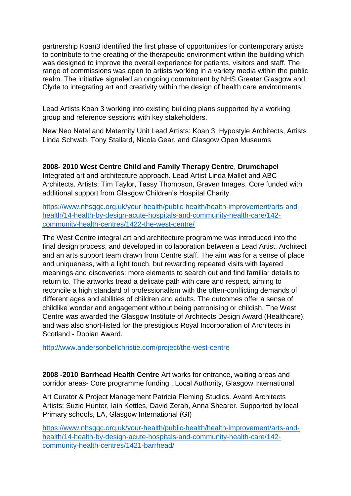partnership Koan3 identified the first phase of opportunities for contemporary artists to contribute to the creating of the therapeutic environment within the building which was designed to improve the overall experience for patients, visitors and staff. The range of commissions was open to artists working in a variety media within the public realm. The initiative signaled an ongoing commitment by NHS Greater Glasgow and Clyde to integrating art and creativity within the design of health care environments.

Lead Artists Koan 3 working into existing building plans supported by a working group and reference sessions with key stakeholders.

New Neo Natal and Maternity Unit Lead Artists: Koan 3, Hypostyle Architects, Artists Linda Schwab, Tony Stallard, Nicola Gear, and Glasgow Open Museums

#### **2008- 2010 West Centre Child and Family Therapy Centre**, **Drumchapel**

Integrated art and architecture approach. Lead Artist Linda Mallet and ABC Architects. Artists: Tim Taylor, Tassy Thompson, Graven Images. Core funded with additional support from Glasgow Children's Hospital Charity.

[https://www.nhsggc.org.uk/your-health/public-health/health-improvement/arts-and](https://www.nhsggc.org.uk/your-health/public-health/health-improvement/arts-and-health/14-health-by-design-acute-hospitals-and-community-health-care/142-community-health-centres/1422-the-west-centre/)[health/14-health-by-design-acute-hospitals-and-community-health-care/142](https://www.nhsggc.org.uk/your-health/public-health/health-improvement/arts-and-health/14-health-by-design-acute-hospitals-and-community-health-care/142-community-health-centres/1422-the-west-centre/) [community-health-centres/1422-the-west-centre/](https://www.nhsggc.org.uk/your-health/public-health/health-improvement/arts-and-health/14-health-by-design-acute-hospitals-and-community-health-care/142-community-health-centres/1422-the-west-centre/)

The West Centre integral art and architecture programme was introduced into the final design process, and developed in collaboration between a Lead Artist, Architect and an arts support team drawn from Centre staff. The aim was for a sense of place and uniqueness, with a light touch, but rewarding repeated visits with layered meanings and discoveries: more elements to search out and find familiar details to return to. The artworks tread a delicate path with care and respect, aiming to reconcile a high standard of professionalism with the often-conflicting demands of different ages and abilities of children and adults. The outcomes offer a sense of childlike wonder and engagement without being patronising or childish. The West Centre was awarded the Glasgow Institute of Architects Design Award (Healthcare), and was also short-listed for the prestigious Royal Incorporation of Architects in Scotland - Doolan Award.

<http://www.andersonbellchristie.com/project/the-west-centre>

**2008 -2010 Barrhead Health Centre** Art works for entrance, waiting areas and corridor areas- Core programme funding , Local Authority, Glasgow International

Art Curator & Project Management Patricia Fleming Studios. Avanti Architects Artists: Suzie Hunter, Iain Kettles, David Zerah, Anna Shearer. Supported by local Primary schools, LA, Glasgow International (GI)

[https://www.nhsggc.org.uk/your-health/public-health/health-improvement/arts-and](https://www.nhsggc.org.uk/your-health/public-health/health-improvement/arts-and-health/14-health-by-design-acute-hospitals-and-community-health-care/142-community-health-centres/1421-barrhead/)[health/14-health-by-design-acute-hospitals-and-community-health-care/142](https://www.nhsggc.org.uk/your-health/public-health/health-improvement/arts-and-health/14-health-by-design-acute-hospitals-and-community-health-care/142-community-health-centres/1421-barrhead/) [community-health-centres/1421-barrhead/](https://www.nhsggc.org.uk/your-health/public-health/health-improvement/arts-and-health/14-health-by-design-acute-hospitals-and-community-health-care/142-community-health-centres/1421-barrhead/)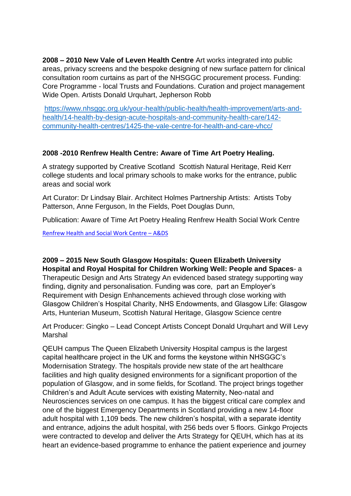**2008 – 2010 New Vale of Leven Health Centre** Art works integrated into public areas, privacy screens and the bespoke designing of new surface pattern for clinical consultation room curtains as part of the NHSGGC procurement process. Funding: Core Programme - local Trusts and Foundations. Curation and project management Wide Open. Artists Donald Urquhart, Jepherson Robb

[https://www.nhsggc.org.uk/your-health/public-health/health-improvement/arts-and](https://www.nhsggc.org.uk/your-health/public-health/health-improvement/arts-and-health/14-health-by-design-acute-hospitals-and-community-health-care/142-community-health-centres/1425-the-vale-centre-for-health-and-care-vhcc/)[health/14-health-by-design-acute-hospitals-and-community-health-care/142](https://www.nhsggc.org.uk/your-health/public-health/health-improvement/arts-and-health/14-health-by-design-acute-hospitals-and-community-health-care/142-community-health-centres/1425-the-vale-centre-for-health-and-care-vhcc/) [community-health-centres/1425-the-vale-centre-for-health-and-care-vhcc/](https://www.nhsggc.org.uk/your-health/public-health/health-improvement/arts-and-health/14-health-by-design-acute-hospitals-and-community-health-care/142-community-health-centres/1425-the-vale-centre-for-health-and-care-vhcc/)

#### **2008 -2010 Renfrew Health Centre: Aware of Time Art Poetry Healing.**

A strategy supported by Creative Scotland Scottish Natural Heritage, Reid Kerr college students and local primary schools to make works for the entrance, public areas and social work

Art Curator: Dr Lindsay Blair. Architect Holmes Partnership Artists: Artists Toby Patterson, Anne Ferguson, In the Fields, Poet Douglas Dunn,

Publication: Aware of Time Art Poetry Healing Renfrew Health Social Work Centre

[Renfrew Health and Social Work Centre](https://www.ads.org.uk/tag/renfrew-health-and-social-work-centre/) – A&DS

**2009 – 2015 New South Glasgow Hospitals: Queen Elizabeth University Hospital and Royal Hospital for Children Working Well: People and Spaces**- a Therapeutic Design and Arts Strategy An evidenced based strategy supporting way finding, dignity and personalisation. Funding was core, part an Employer's Requirement with Design Enhancements achieved through close working with Glasgow Children's Hospital Charity, NHS Endowments, and Glasgow Life: Glasgow Arts, Hunterian Museum, Scottish Natural Heritage, Glasgow Science centre

Art Producer: Gingko – Lead Concept Artists Concept Donald Urquhart and Will Levy Marshal

QEUH campus The Queen Elizabeth University Hospital campus is the largest capital healthcare project in the UK and forms the keystone within NHSGGC's Modernisation Strategy. The hospitals provide new state of the art healthcare facilities and high quality designed environments for a significant proportion of the population of Glasgow, and in some fields, for Scotland. The project brings together Children's and Adult Acute services with existing Maternity, Neo-natal and Neurosciences services on one campus. It has the biggest critical care complex and one of the biggest Emergency Departments in Scotland providing a new 14-floor adult hospital with 1,109 beds. The new children's hospital, with a separate identity and entrance, adjoins the adult hospital, with 256 beds over 5 floors. Ginkgo Projects were contracted to develop and deliver the Arts Strategy for QEUH, which has at its heart an evidence-based programme to enhance the patient experience and journey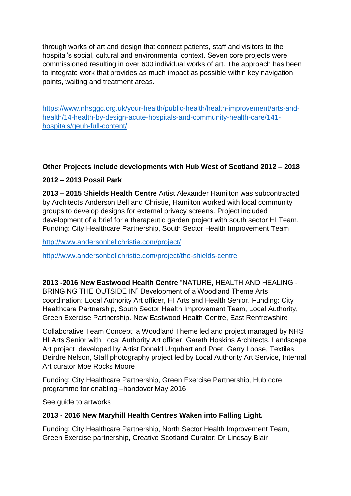through works of art and design that connect patients, staff and visitors to the hospital's social, cultural and environmental context. Seven core projects were commissioned resulting in over 600 individual works of art. The approach has been to integrate work that provides as much impact as possible within key navigation points, waiting and treatment areas.

[https://www.nhsggc.org.uk/your-health/public-health/health-improvement/arts-and](https://www.nhsggc.org.uk/your-health/public-health/health-improvement/arts-and-health/14-health-by-design-acute-hospitals-and-community-health-care/141-hospitals/qeuh-full-content/)[health/14-health-by-design-acute-hospitals-and-community-health-care/141](https://www.nhsggc.org.uk/your-health/public-health/health-improvement/arts-and-health/14-health-by-design-acute-hospitals-and-community-health-care/141-hospitals/qeuh-full-content/) [hospitals/qeuh-full-content/](https://www.nhsggc.org.uk/your-health/public-health/health-improvement/arts-and-health/14-health-by-design-acute-hospitals-and-community-health-care/141-hospitals/qeuh-full-content/)

# **Other Projects include developments with Hub West of Scotland 2012 – 2018**

# **2012 – 2013 Possil Park**

**2013 – 2015** S**hields Health Centre** Artist Alexander Hamilton was subcontracted by Architects Anderson Bell and Christie, Hamilton worked with local community groups to develop designs for external privacy screens. Project included development of a brief for a therapeutic garden project with south sector HI Team. Funding: City Healthcare Partnership, South Sector Health Improvement Team

<http://www.andersonbellchristie.com/project/>

<http://www.andersonbellchristie.com/project/the-shields-centre>

**2013 -2016 New Eastwood Health Centre** "NATURE, HEALTH AND HEALING - BRINGING THE OUTSIDE IN" Development of a Woodland Theme Arts coordination: Local Authority Art officer, HI Arts and Health Senior. Funding: City Healthcare Partnership, South Sector Health Improvement Team, Local Authority, Green Exercise Partnership. New Eastwood Health Centre, East Renfrewshire

Collaborative Team Concept: a Woodland Theme led and project managed by NHS HI Arts Senior with Local Authority Art officer. Gareth Hoskins Architects, Landscape Art project developed by Artist Donald Urquhart and Poet Gerry Loose, Textiles Deirdre Nelson, Staff photography project led by Local Authority Art Service, Internal Art curator Moe Rocks Moore

Funding: City Healthcare Partnership, Green Exercise Partnership, Hub core programme for enabling –handover May 2016

See guide to artworks

#### **2013 - 2016 New Maryhill Health Centres Waken into Falling Light.**

Funding: City Healthcare Partnership, North Sector Health Improvement Team, Green Exercise partnership, Creative Scotland Curator: Dr Lindsay Blair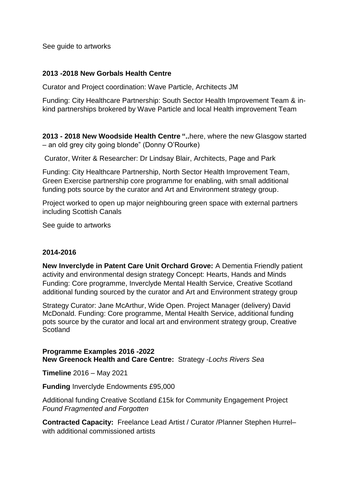See guide to artworks

#### **2013 -2018 New Gorbals Health Centre**

Curator and Project coordination: Wave Particle, Architects JM

Funding: City Healthcare Partnership: South Sector Health Improvement Team & inkind partnerships brokered by Wave Particle and local Health improvement Team

**2013 - 2018 New Woodside Health Centre "..**here, where the new Glasgow started – an old grey city going blonde" (Donny O'Rourke)

Curator, Writer & Researcher: Dr Lindsay Blair, Architects, Page and Park

Funding: City Healthcare Partnership, North Sector Health Improvement Team, Green Exercise partnership core programme for enabling, with small additional funding pots source by the curator and Art and Environment strategy group.

Project worked to open up major neighbouring green space with external partners including Scottish Canals

See guide to artworks

#### **2014-2016**

**New Inverclyde in Patent Care Unit Orchard Grove:** A Dementia Friendly patient activity and environmental design strategy Concept: Hearts, Hands and Minds Funding: Core programme, Inverclyde Mental Health Service, Creative Scotland additional funding sourced by the curator and Art and Environment strategy group

Strategy Curator: Jane McArthur, Wide Open. Project Manager (delivery) David McDonald. Funding: Core programme, Mental Health Service, additional funding pots source by the curator and local art and environment strategy group, Creative **Scotland** 

**Programme Examples 2016 -2022 New Greenock Health and Care Centre:** Strategy -*Lochs Rivers Sea*

**Timeline** 2016 – May 2021

**Funding** Inverclyde Endowments £95,000

Additional funding Creative Scotland £15k for Community Engagement Project *Found Fragmented and Forgotten*

**Contracted Capacity:** Freelance Lead Artist / Curator /Planner Stephen Hurrel– with additional commissioned artists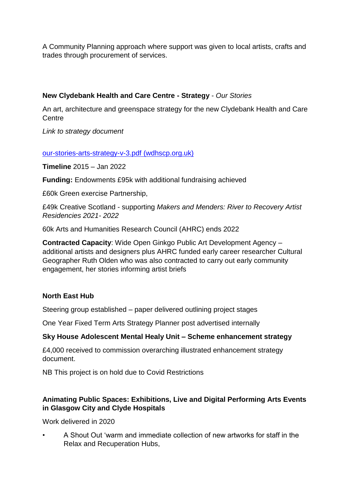A Community Planning approach where support was given to local artists, crafts and trades through procurement of services.

# **New Clydebank Health and Care Centre - Strategy** - *Our Stories*

An art, architecture and greenspace strategy for the new Clydebank Health and Care **Centre** 

*Link to strategy document*

#### [our-stories-arts-strategy-v-3.pdf \(wdhscp.org.uk\)](http://www.wdhscp.org.uk/media/1881/our-stories-arts-strategy-v-3.pdf)

**Timeline** 2015 – Jan 2022

**Funding:** Endowments £95k with additional fundraising achieved

£60k Green exercise Partnership,

£49k Creative Scotland - supporting *Makers and Menders: River to Recovery Artist Residencies 2021- 2022*

60k Arts and Humanities Research Council (AHRC) ends 2022

**Contracted Capacity**: Wide Open Ginkgo Public Art Development Agency – additional artists and designers plus AHRC funded early career researcher Cultural Geographer Ruth Olden who was also contracted to carry out early community engagement, her stories informing artist briefs

#### **North East Hub**

Steering group established – paper delivered outlining project stages

One Year Fixed Term Arts Strategy Planner post advertised internally

#### **Sky House Adolescent Mental Healy Unit – Scheme enhancement strategy**

£4,000 received to commission overarching illustrated enhancement strategy document.

NB This project is on hold due to Covid Restrictions

#### **Animating Public Spaces: Exhibitions, Live and Digital Performing Arts Events in Glasgow City and Clyde Hospitals**

Work delivered in 2020

• A Shout Out 'warm and immediate collection of new artworks for staff in the Relax and Recuperation Hubs,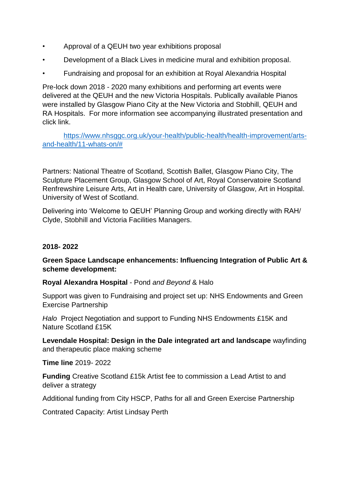- Approval of a QEUH two year exhibitions proposal
- Development of a Black Lives in medicine mural and exhibition proposal.
- Fundraising and proposal for an exhibition at Royal Alexandria Hospital

Pre-lock down 2018 - 2020 many exhibitions and performing art events were delivered at the QEUH and the new Victoria Hospitals. Publically available Pianos were installed by Glasgow Piano City at the New Victoria and Stobhill, QEUH and RA Hospitals. For more information see accompanying illustrated presentation and click link.

[https://www.nhsggc.org.uk/your-health/public-health/health-improvement/arts](https://www.nhsggc.org.uk/your-health/public-health/health-improvement/arts-and-health/11-whats-on/)[and-health/11-whats-on/#](https://www.nhsggc.org.uk/your-health/public-health/health-improvement/arts-and-health/11-whats-on/)

Partners: National Theatre of Scotland, Scottish Ballet, Glasgow Piano City, The Sculpture Placement Group, Glasgow School of Art, Royal Conservatoire Scotland Renfrewshire Leisure Arts, Art in Health care, University of Glasgow, Art in Hospital. University of West of Scotland.

Delivering into 'Welcome to QEUH' Planning Group and working directly with RAH/ Clyde, Stobhill and Victoria Facilities Managers.

#### **2018- 2022**

#### **Green Space Landscape enhancements: Influencing Integration of Public Art & scheme development:**

**Royal Alexandra Hospital** - Pond *and Beyond* & Halo

Support was given to Fundraising and project set up: NHS Endowments and Green Exercise Partnership

*Halo* Project Negotiation and support to Funding NHS Endowments £15K and Nature Scotland £15K

**Levendale Hospital: Design in the Dale integrated art and landscape** wayfinding and therapeutic place making scheme

**Time line** 2019- 2022

**Funding** Creative Scotland £15k Artist fee to commission a Lead Artist to and deliver a strategy

Additional funding from City HSCP, Paths for all and Green Exercise Partnership

Contrated Capacity: Artist Lindsay Perth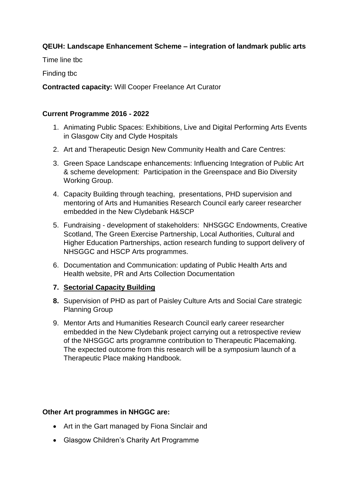#### **QEUH: Landscape Enhancement Scheme – integration of landmark public arts**

Time line tbc

Finding tbc

**Contracted capacity:** Will Cooper Freelance Art Curator

#### **Current Programme 2016 - 2022**

- 1. Animating Public Spaces: Exhibitions, Live and Digital Performing Arts Events in Glasgow City and Clyde Hospitals
- 2. Art and Therapeutic Design New Community Health and Care Centres:
- 3. Green Space Landscape enhancements: Influencing Integration of Public Art & scheme development: Participation in the Greenspace and Bio Diversity Working Group.
- 4. Capacity Building through teaching, presentations, PHD supervision and mentoring of Arts and Humanities Research Council early career researcher embedded in the New Clydebank H&SCP
- 5. Fundraising development of stakeholders: NHSGGC Endowments, Creative Scotland, The Green Exercise Partnership, Local Authorities, Cultural and Higher Education Partnerships, action research funding to support delivery of NHSGGC and HSCP Arts programmes.
- 6. Documentation and Communication: updating of Public Health Arts and Health website, PR and Arts Collection Documentation

#### **7. Sectorial Capacity Building**

- **8.** Supervision of PHD as part of Paisley Culture Arts and Social Care strategic Planning Group
- 9. Mentor Arts and Humanities Research Council early career researcher embedded in the New Clydebank project carrying out a retrospective review of the NHSGGC arts programme contribution to Therapeutic Placemaking. The expected outcome from this research will be a symposium launch of a Therapeutic Place making Handbook.

#### **Other Art programmes in NHGGC are:**

- Art in the Gart managed by Fiona Sinclair and
- Glasgow Children's Charity Art Programme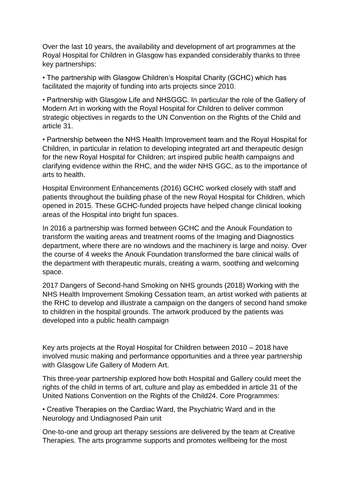Over the last 10 years, the availability and development of art programmes at the Royal Hospital for Children in Glasgow has expanded considerably thanks to three key partnerships:

• The partnership with Glasgow Children's Hospital Charity (GCHC) which has facilitated the majority of funding into arts projects since 2010.

• Partnership with Glasgow Life and NHSGGC. In particular the role of the Gallery of Modern Art in working with the Royal Hospital for Children to deliver common strategic objectives in regards to the UN Convention on the Rights of the Child and article 31.

• Partnership between the NHS Health Improvement team and the Royal Hospital for Children, in particular in relation to developing integrated art and therapeutic design for the new Royal Hospital for Children; art inspired public health campaigns and clarifying evidence within the RHC, and the wider NHS GGC, as to the importance of arts to health.

Hospital Environment Enhancements (2016) GCHC worked closely with staff and patients throughout the building phase of the new Royal Hospital for Children, which opened in 2015. These GCHC-funded projects have helped change clinical looking areas of the Hospital into bright fun spaces.

In 2016 a partnership was formed between GCHC and the Anouk Foundation to transform the waiting areas and treatment rooms of the Imaging and Diagnostics department, where there are no windows and the machinery is large and noisy. Over the course of 4 weeks the Anouk Foundation transformed the bare clinical walls of the department with therapeutic murals, creating a warm, soothing and welcoming space.

2017 Dangers of Second-hand Smoking on NHS grounds (2018) Working with the NHS Health Improvement Smoking Cessation team, an artist worked with patients at the RHC to develop and illustrate a campaign on the dangers of second hand smoke to children in the hospital grounds. The artwork produced by the patients was developed into a public health campaign

Key arts projects at the Royal Hospital for Children between 2010 – 2018 have involved music making and performance opportunities and a three year partnership with Glasgow Life Gallery of Modern Art.

This three-year partnership explored how both Hospital and Gallery could meet the rights of the child in terms of art, culture and play as embedded in article 31 of the United Nations Convention on the Rights of the Child24. Core Programmes:

• Creative Therapies on the Cardiac Ward, the Psychiatric Ward and in the Neurology and Undiagnosed Pain unit

One-to-one and group art therapy sessions are delivered by the team at Creative Therapies. The arts programme supports and promotes wellbeing for the most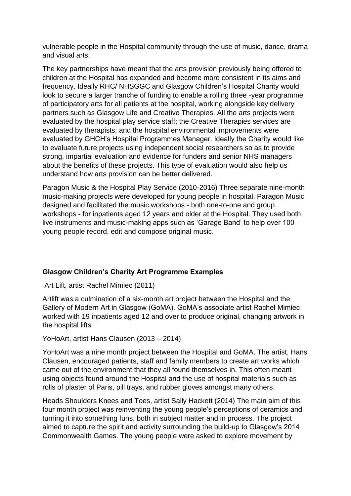vulnerable people in the Hospital community through the use of music, dance, drama and visual arts.

The key partnerships have meant that the arts provision previously being offered to children at the Hospital has expanded and become more consistent in its aims and frequency. Ideally RHC/ NHSGGC and Glasgow Children's Hospital Charity would look to secure a larger tranche of funding to enable a rolling three -year programme of participatory arts for all patients at the hospital, working alongside key delivery partners such as Glasgow Life and Creative Therapies. All the arts projects were evaluated by the hospital play service staff; the Creative Therapies services are evaluated by therapists; and the hospital environmental improvements were evaluated by GHCH's Hospital Programmes Manager. Ideally the Charity would like to evaluate future projects using independent social researchers so as to provide strong, impartial evaluation and evidence for funders and senior NHS managers about the benefits of these projects. This type of evaluation would also help us understand how arts provision can be better delivered.

Paragon Music & the Hospital Play Service (2010-2016) Three separate nine-month music-making projects were developed for young people in hospital. Paragon Music designed and facilitated the music workshops - both one-to-one and group workshops - for inpatients aged 12 years and older at the Hospital. They used both live instruments and music-making apps such as 'Garage Band' to help over 100 young people record, edit and compose original music.

#### **Glasgow Children's Charity Art Programme Examples**

Art Lift, artist Rachel Mimiec (2011)

Artlift was a culmination of a six-month art project between the Hospital and the Gallery of Modern Art in Glasgow (GoMA). GoMA's associate artist Rachel Mimiec worked with 19 inpatients aged 12 and over to produce original, changing artwork in the hospital lifts.

YoHoArt, artist Hans Clausen (2013 – 2014)

YoHoArt was a nine month project between the Hospital and GoMA. The artist, Hans Clausen, encouraged patients, staff and family members to create art works which came out of the environment that they all found themselves in. This often meant using objects found around the Hospital and the use of hospital materials such as rolls of plaster of Paris, pill trays, and rubber gloves amongst many others.

Heads Shoulders Knees and Toes, artist Sally Hackett (2014) The main aim of this four month project was reinventing the young people's perceptions of ceramics and turning it into something funs, both in subject matter and in process. The project aimed to capture the spirit and activity surrounding the build-up to Glasgow's 2014 Commonwealth Games. The young people were asked to explore movement by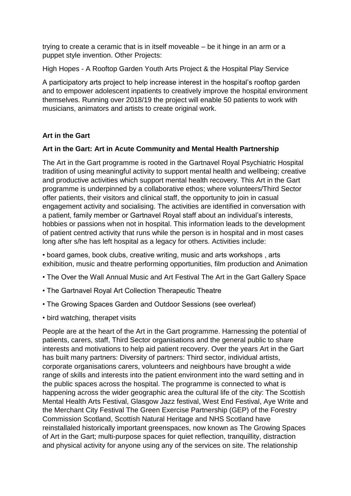trying to create a ceramic that is in itself moveable – be it hinge in an arm or a puppet style invention. Other Projects:

High Hopes - A Rooftop Garden Youth Arts Project & the Hospital Play Service

A participatory arts project to help increase interest in the hospital's rooftop garden and to empower adolescent inpatients to creatively improve the hospital environment themselves. Running over 2018/19 the project will enable 50 patients to work with musicians, animators and artists to create original work.

#### **Art in the Gart**

#### **Art in the Gart: Art in Acute Community and Mental Health Partnership**

The Art in the Gart programme is rooted in the Gartnavel Royal Psychiatric Hospital tradition of using meaningful activity to support mental health and wellbeing; creative and productive activities which support mental health recovery. This Art in the Gart programme is underpinned by a collaborative ethos; where volunteers/Third Sector offer patients, their visitors and clinical staff, the opportunity to join in casual engagement activity and socialising. The activities are identified in conversation with a patient, family member or Gartnavel Royal staff about an individual's interests, hobbies or passions when not in hospital. This information leads to the development of patient centred activity that runs while the person is in hospital and in most cases long after s/he has left hospital as a legacy for others. Activities include:

• board games, book clubs, creative writing, music and arts workshops , arts exhibition, music and theatre performing opportunities, film production and Animation

- The Over the Wall Annual Music and Art Festival The Art in the Gart Gallery Space
- The Gartnavel Royal Art Collection Therapeutic Theatre
- The Growing Spaces Garden and Outdoor Sessions (see overleaf)
- bird watching, therapet visits

People are at the heart of the Art in the Gart programme. Harnessing the potential of patients, carers, staff, Third Sector organisations and the general public to share interests and motivations to help aid patient recovery. Over the years Art in the Gart has built many partners: Diversity of partners: Third sector, individual artists, corporate organisations carers, volunteers and neighbours have brought a wide range of skills and interests into the patient environment into the ward setting and in the public spaces across the hospital. The programme is connected to what is happening across the wider geographic area the cultural life of the city: The Scottish Mental Health Arts Festival, Glasgow Jazz festival, West End Festival, Aye Write and the Merchant City Festival The Green Exercise Partnership (GEP) of the Forestry Commission Scotland, Scottish Natural Heritage and NHS Scotland have reinstallaled historically important greenspaces, now known as The Growing Spaces of Art in the Gart; multi-purpose spaces for quiet reflection, tranquillity, distraction and physical activity for anyone using any of the services on site. The relationship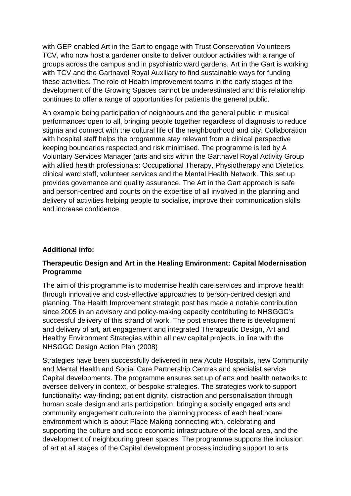with GEP enabled Art in the Gart to engage with Trust Conservation Volunteers TCV, who now host a gardener onsite to deliver outdoor activities with a range of groups across the campus and in psychiatric ward gardens. Art in the Gart is working with TCV and the Gartnavel Royal Auxiliary to find sustainable ways for funding these activities. The role of Health Improvement teams in the early stages of the development of the Growing Spaces cannot be underestimated and this relationship continues to offer a range of opportunities for patients the general public.

An example being participation of neighbours and the general public in musical performances open to all, bringing people together regardless of diagnosis to reduce stigma and connect with the cultural life of the neighbourhood and city. Collaboration with hospital staff helps the programme stay relevant from a clinical perspective keeping boundaries respected and risk minimised. The programme is led by A Voluntary Services Manager (arts and sits within the Gartnavel Royal Activity Group with allied health professionals: Occupational Therapy, Physiotherapy and Dietetics, clinical ward staff, volunteer services and the Mental Health Network. This set up provides governance and quality assurance. The Art in the Gart approach is safe and person-centred and counts on the expertise of all involved in the planning and delivery of activities helping people to socialise, improve their communication skills and increase confidence.

#### **Additional info:**

# **Therapeutic Design and Art in the Healing Environment: Capital Modernisation Programme**

The aim of this programme is to modernise health care services and improve health through innovative and cost-effective approaches to person-centred design and planning. The Health Improvement strategic post has made a notable contribution since 2005 in an advisory and policy-making capacity contributing to NHSGGC's successful delivery of this strand of work. The post ensures there is development and delivery of art, art engagement and integrated Therapeutic Design, Art and Healthy Environment Strategies within all new capital projects, in line with the NHSGGC Design Action Plan (2008)

Strategies have been successfully delivered in new Acute Hospitals, new Community and Mental Health and Social Care Partnership Centres and specialist service Capital developments. The programme ensures set up of arts and health networks to oversee delivery in context, of bespoke strategies. The strategies work to support functionality: way-finding; patient dignity, distraction and personalisation through human scale design and arts participation; bringing a socially engaged arts and community engagement culture into the planning process of each healthcare environment which is about Place Making connecting with, celebrating and supporting the culture and socio economic infrastructure of the local area, and the development of neighbouring green spaces. The programme supports the inclusion of art at all stages of the Capital development process including support to arts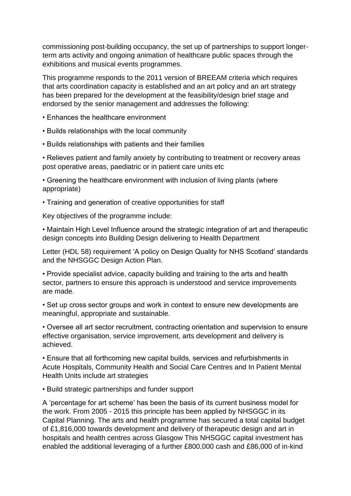commissioning post-building occupancy, the set up of partnerships to support longerterm arts activity and ongoing animation of healthcare public spaces through the exhibitions and musical events programmes.

This programme responds to the 2011 version of BREEAM criteria which requires that arts coordination capacity is established and an art policy and an art strategy has been prepared for the development at the feasibility/design brief stage and endorsed by the senior management and addresses the following:

- Enhances the healthcare environment
- Builds relationships with the local community
- Builds relationships with patients and their families

• Relieves patient and family anxiety by contributing to treatment or recovery areas post operative areas, paediatric or in patient care units etc

• Greening the healthcare environment with inclusion of living plants (where appropriate)

• Training and generation of creative opportunities for staff

Key objectives of the programme include:

• Maintain High Level Influence around the strategic integration of art and therapeutic design concepts into Building Design delivering to Health Department

Letter (HDL 58) requirement 'A policy on Design Quality for NHS Scotland' standards and the NHSGGC Design Action Plan.

• Provide specialist advice, capacity building and training to the arts and health sector, partners to ensure this approach is understood and service improvements are made.

• Set up cross sector groups and work in context to ensure new developments are meaningful, appropriate and sustainable.

• Oversee all art sector recruitment, contracting orientation and supervision to ensure effective organisation, service improvement, arts development and delivery is achieved.

• Ensure that all forthcoming new capital builds, services and refurbishments in Acute Hospitals, Community Health and Social Care Centres and In Patient Mental Health Units include art strategies

• Build strategic partnerships and funder support

A 'percentage for art scheme' has been the basis of its current business model for the work. From 2005 - 2015 this principle has been applied by NHSGGC in its Capital Planning. The arts and health programme has secured a total capital budget of £1,816,000 towards development and delivery of therapeutic design and art in hospitals and health centres across Glasgow This NHSGGC capital investment has enabled the additional leveraging of a further £800,000 cash and £86,000 of in-kind